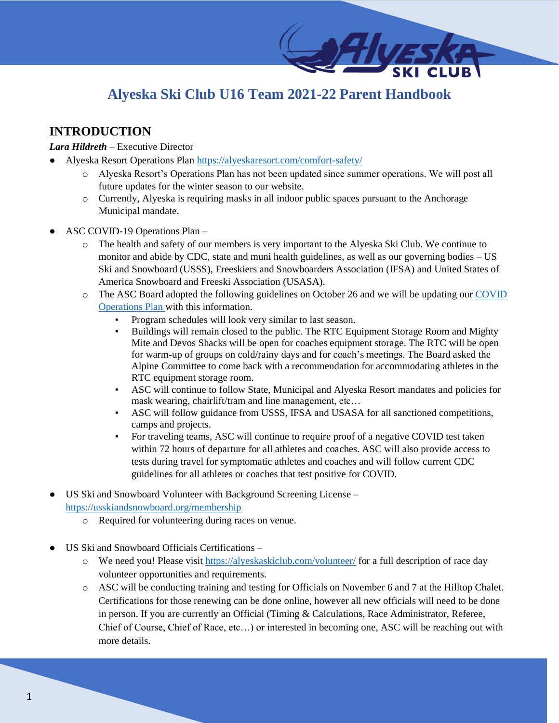# **Alyeska Ski Club U16 Team 2021-22 Parent Handbook**

# **INTRODUCTION**

### *Lara Hildreth* – Executive Director

- Alyeska Resort Operations Plan<https://alyeskaresort.com/comfort-safety/>
	- o Alyeska Resort's Operations Plan has not been updated since summer operations. We will post all future updates for the winter season to our website.
	- o Currently, Alyeska is requiring masks in all indoor public spaces pursuant to the Anchorage Municipal mandate.
- ASC COVID-19 Operations Plan
	- o The health and safety of our members is very important to the Alyeska Ski Club. We continue to monitor and abide by CDC, state and muni health guidelines, as well as our governing bodies – US Ski and Snowboard (USSS), Freeskiers and Snowboarders Association (IFSA) and United States of America Snowboard and Freeski Association (USASA).
	- o The ASC Board adopted the following guidelines on October 26 and we will be updating ou[r COVID](https://alyeskaskiclub.com/covid-19-operations-plan/)  [Operations Plan w](https://alyeskaskiclub.com/covid-19-operations-plan/)ith this information.
		- Program schedules will look very similar to last season.
		- **•** Buildings will remain closed to the public. The RTC Equipment Storage Room and Mighty Mite and Devos Shacks will be open for coaches equipment storage. The RTC will be open for warm-up of groups on cold/rainy days and for coach's meetings. The Board asked the Alpine Committee to come back with a recommendation for accommodating athletes in the RTC equipment storage room.
		- ASC will continue to follow State, Municipal and Alyeska Resort mandates and policies for mask wearing, chairlift/tram and line management, etc…
		- ASC will follow guidance from USSS, IFSA and USASA for all sanctioned competitions, camps and projects.
		- For traveling teams, ASC will continue to require proof of a negative COVID test taken within 72 hours of departure for all athletes and coaches. ASC will also provide access to tests during travel for symptomatic athletes and coaches and will follow current CDC guidelines for all athletes or coaches that test positive for COVID.
- US Ski and Snowboard Volunteer with Background Screening License <https://usskiandsnowboard.org/membership>
	- o Required for volunteering during races on venue.
- US Ski and Snowboard Officials Certifications
	- o We need you! Please visit<https://alyeskaskiclub.com/volunteer/> for a full description of race day volunteer opportunities and requirements.
	- o ASC will be conducting training and testing for Officials on November 6 and 7 at the Hilltop Chalet. Certifications for those renewing can be done online, however all new officials will need to be done in person. If you are currently an Official (Timing & Calculations, Race Administrator, Referee, Chief of Course, Chief of Race, etc…) or interested in becoming one, ASC will be reaching out with more details.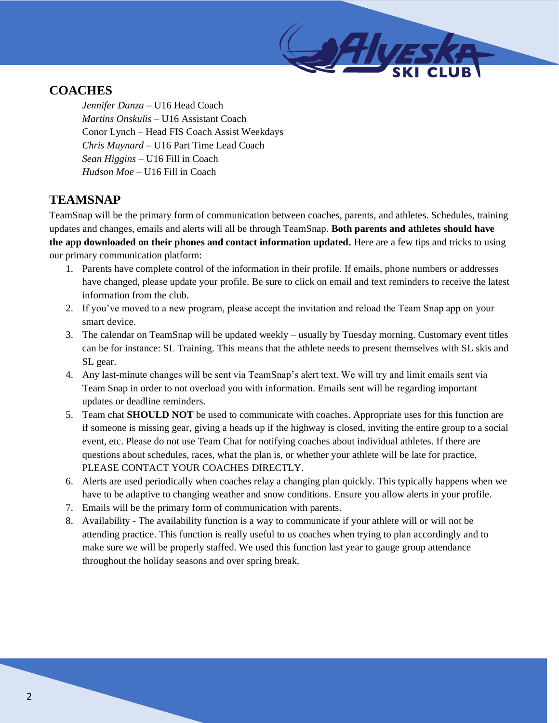# **COACHES**

*Jennifer Danza* – U16 Head Coach *Martins Onskulis* – U16 Assistant Coach Conor Lynch – Head FIS Coach Assist Weekdays *Chris Maynard –* U16 Part Time Lead Coach *Sean Higgins* – U16 Fill in Coach *Hudson Moe –* U16 Fill in Coach

# **TEAMSNAP**

TeamSnap will be the primary form of communication between coaches, parents, and athletes. Schedules, training updates and changes, emails and alerts will all be through TeamSnap. **Both parents and athletes should have the app downloaded on their phones and contact information updated.** Here are a few tips and tricks to using our primary communication platform:

- 1. Parents have complete control of the information in their profile. If emails, phone numbers or addresses have changed, please update your profile. Be sure to click on email and text reminders to receive the latest information from the club.
- 2. If you've moved to a new program, please accept the invitation and reload the Team Snap app on your smart device.
- 3. The calendar on TeamSnap will be updated weekly usually by Tuesday morning. Customary event titles can be for instance: SL Training. This means that the athlete needs to present themselves with SL skis and SL gear.
- 4. Any last-minute changes will be sent via TeamSnap's alert text. We will try and limit emails sent via Team Snap in order to not overload you with information. Emails sent will be regarding important updates or deadline reminders.
- 5. Team chat **SHOULD NOT** be used to communicate with coaches. Appropriate uses for this function are if someone is missing gear, giving a heads up if the highway is closed, inviting the entire group to a social event, etc. Please do not use Team Chat for notifying coaches about individual athletes. If there are questions about schedules, races, what the plan is, or whether your athlete will be late for practice, PLEASE CONTACT YOUR COACHES DIRECTLY.
- 6. Alerts are used periodically when coaches relay a changing plan quickly. This typically happens when we have to be adaptive to changing weather and snow conditions. Ensure you allow alerts in your profile.
- 7. Emails will be the primary form of communication with parents.
- 8. Availability The availability function is a way to communicate if your athlete will or will not be attending practice. This function is really useful to us coaches when trying to plan accordingly and to make sure we will be properly staffed. We used this function last year to gauge group attendance throughout the holiday seasons and over spring break.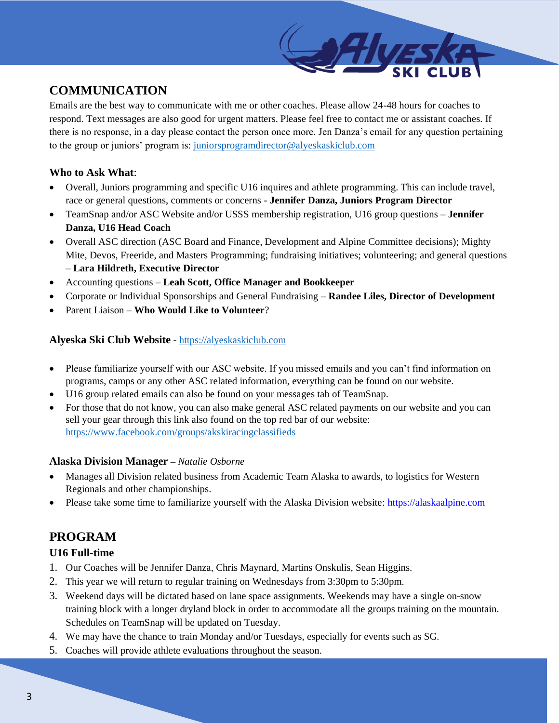# **COMMUNICATION**

Emails are the best way to communicate with me or other coaches. Please allow 24-48 hours for coaches to respond. Text messages are also good for urgent matters. Please feel free to contact me or assistant coaches. If there is no response, in a day please contact the person once more. Jen Danza's email for any question pertaining to the group or juniors' program is: [juniorsprogramdirector@alyeskaskiclub.com](mailto:juniorsprogramdirector@alyeskaskiclub.com)

## **Who to Ask What**:

- Overall, Juniors programming and specific U16 inquires and athlete programming. This can include travel, race or general questions, comments or concerns - **Jennifer Danza, Juniors Program Director**
- TeamSnap and/or ASC Website and/or USSS membership registration, U16 group questions **Jennifer Danza, U16 Head Coach**
- Overall ASC direction (ASC Board and Finance, Development and Alpine Committee decisions); Mighty Mite, Devos, Freeride, and Masters Programming; fundraising initiatives; volunteering; and general questions – **Lara Hildreth, Executive Director**
- Accounting questions **Leah Scott, Office Manager and Bookkeeper**
- Corporate or Individual Sponsorships and General Fundraising **Randee Liles, Director of Development**
- Parent Liaison **Who Would Like to Volunteer**?

## **Alyeska Ski Club Website** *-* [https://alyeskaskiclub.com](https://alyeskaskiclub.com/)

- Please familiarize yourself with our ASC website. If you missed emails and you can't find information on programs, camps or any other ASC related information, everything can be found on our website.
- U16 group related emails can also be found on your messages tab of TeamSnap.
- For those that do not know, you can also make general ASC related payments on our website and you can sell your gear through this link also found on the top red bar of our website: <https://www.facebook.com/groups/akskiracingclassifieds>

## **Alaska Division Manager –** *Natalie Osborne*

- Manages all Division related business from Academic Team Alaska to awards, to logistics for Western Regionals and other championships.
- Please take some time to familiarize yourself with the Alaska Division website: https://alaskaalpine.com

# **PROGRAM**

## **U16 Full-time**

- 1. Our Coaches will be Jennifer Danza, Chris Maynard, Martins Onskulis, Sean Higgins.
- 2. This year we will return to regular training on Wednesdays from 3:30pm to 5:30pm.
- 3. Weekend days will be dictated based on lane space assignments. Weekends may have a single on-snow training block with a longer dryland block in order to accommodate all the groups training on the mountain. Schedules on TeamSnap will be updated on Tuesday.
- 4. We may have the chance to train Monday and/or Tuesdays, especially for events such as SG.
- 5. Coaches will provide athlete evaluations throughout the season.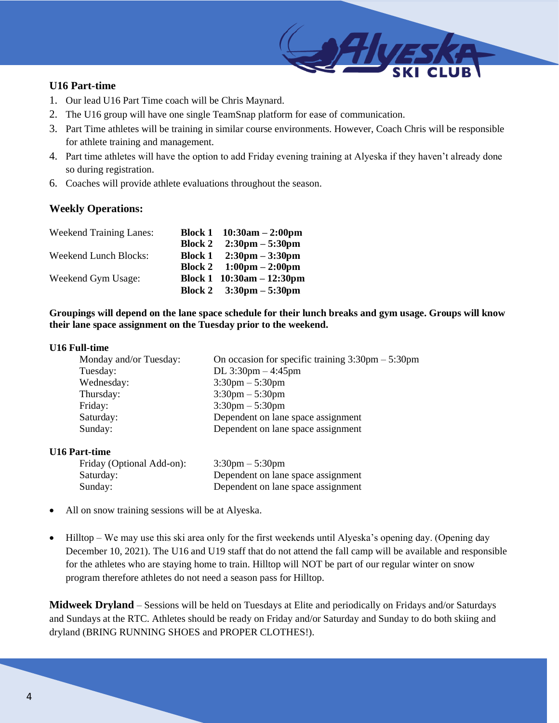## **U16 Part-time**

- 1. Our lead U16 Part Time coach will be Chris Maynard.
- 2. The U16 group will have one single TeamSnap platform for ease of communication.
- 3. Part Time athletes will be training in similar course environments. However, Coach Chris will be responsible for athlete training and management.
- 4. Part time athletes will have the option to add Friday evening training at Alyeska if they haven't already done so during registration.
- 6. Coaches will provide athlete evaluations throughout the season.

## **Weekly Operations:**

| <b>Weekend Training Lanes:</b> |                | Block 1 $10:30$ am $-2:00$ pm             |
|--------------------------------|----------------|-------------------------------------------|
|                                | <b>Block 2</b> | $2:30 \text{pm} - 5:30 \text{pm}$         |
| Weekend Lunch Blocks:          |                | Block 1 $2:30 \text{pm} - 3:30 \text{pm}$ |
|                                |                | Block 2 $1:00 \text{pm} - 2:00 \text{pm}$ |
| Weekend Gym Usage:             |                | Block 1 $10:30am - 12:30pm$               |
|                                |                | Block 2 $3:30 \text{pm} - 5:30 \text{pm}$ |

**Groupings will depend on the lane space schedule for their lunch breaks and gym usage. Groups will know their lane space assignment on the Tuesday prior to the weekend.**

#### **U16 Full-time**

| Monday and/or Tuesday: | On occasion for specific training $3:30 \text{pm} - 5:30 \text{pm}$ |
|------------------------|---------------------------------------------------------------------|
| Tuesday:               | DL $3:30$ pm $-4:45$ pm                                             |
| Wednesday:             | $3:30 \text{pm} - 5:30 \text{pm}$                                   |
| Thursday:              | $3:30 \text{pm} - 5:30 \text{pm}$                                   |
| Friday:                | $3:30 \text{pm} - 5:30 \text{pm}$                                   |
| Saturday:              | Dependent on lane space assignment                                  |
| Sunday:                | Dependent on lane space assignment                                  |
|                        |                                                                     |

#### **U16 Part-time**

| Friday (Optional Add-on): | $3:30 \text{pm} - 5:30 \text{pm}$  |
|---------------------------|------------------------------------|
| Saturday:                 | Dependent on lane space assignment |
| Sunday:                   | Dependent on lane space assignment |

- All on snow training sessions will be at Alyeska.
- Hilltop We may use this ski area only for the first weekends until Alyeska's opening day. (Opening day December 10, 2021). The U16 and U19 staff that do not attend the fall camp will be available and responsible for the athletes who are staying home to train. Hilltop will NOT be part of our regular winter on snow program therefore athletes do not need a season pass for Hilltop.

**Midweek Dryland** – Sessions will be held on Tuesdays at Elite and periodically on Fridays and/or Saturdays and Sundays at the RTC. Athletes should be ready on Friday and/or Saturday and Sunday to do both skiing and dryland (BRING RUNNING SHOES and PROPER CLOTHES!).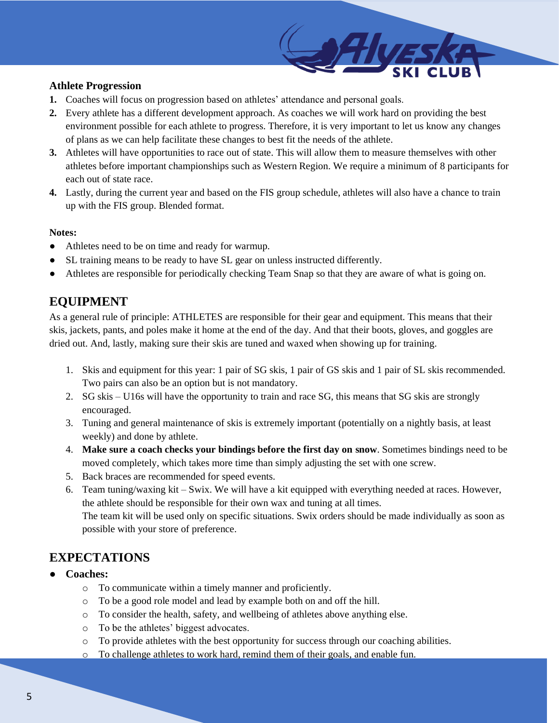## **Athlete Progression**

- **1.** Coaches will focus on progression based on athletes' attendance and personal goals.
- **2.** Every athlete has a different development approach. As coaches we will work hard on providing the best environment possible for each athlete to progress. Therefore, it is very important to let us know any changes of plans as we can help facilitate these changes to best fit the needs of the athlete.
- **3.** Athletes will have opportunities to race out of state. This will allow them to measure themselves with other athletes before important championships such as Western Region. We require a minimum of 8 participants for each out of state race.
- **4.** Lastly, during the current year and based on the FIS group schedule, athletes will also have a chance to train up with the FIS group. Blended format.

### **Notes:**

- Athletes need to be on time and ready for warmup.
- SL training means to be ready to have SL gear on unless instructed differently.
- Athletes are responsible for periodically checking Team Snap so that they are aware of what is going on.

# **EQUIPMENT**

As a general rule of principle: ATHLETES are responsible for their gear and equipment. This means that their skis, jackets, pants, and poles make it home at the end of the day. And that their boots, gloves, and goggles are dried out. And, lastly, making sure their skis are tuned and waxed when showing up for training.

- 1. Skis and equipment for this year: 1 pair of SG skis, 1 pair of GS skis and 1 pair of SL skis recommended. Two pairs can also be an option but is not mandatory.
- 2. SG skis U16s will have the opportunity to train and race SG, this means that SG skis are strongly encouraged.
- 3. Tuning and general maintenance of skis is extremely important (potentially on a nightly basis, at least weekly) and done by athlete.
- 4. **Make sure a coach checks your bindings before the first day on snow**. Sometimes bindings need to be moved completely, which takes more time than simply adjusting the set with one screw.
- 5. Back braces are recommended for speed events.
- 6. Team tuning/waxing kit Swix. We will have a kit equipped with everything needed at races. However, the athlete should be responsible for their own wax and tuning at all times. The team kit will be used only on specific situations. Swix orders should be made individually as soon as possible with your store of preference.

# **EXPECTATIONS**

## ● **Coaches:**

- o To communicate within a timely manner and proficiently.
- o To be a good role model and lead by example both on and off the hill.
- o To consider the health, safety, and wellbeing of athletes above anything else.
- o To be the athletes' biggest advocates.
- o To provide athletes with the best opportunity for success through our coaching abilities.
- o To challenge athletes to work hard, remind them of their goals, and enable fun.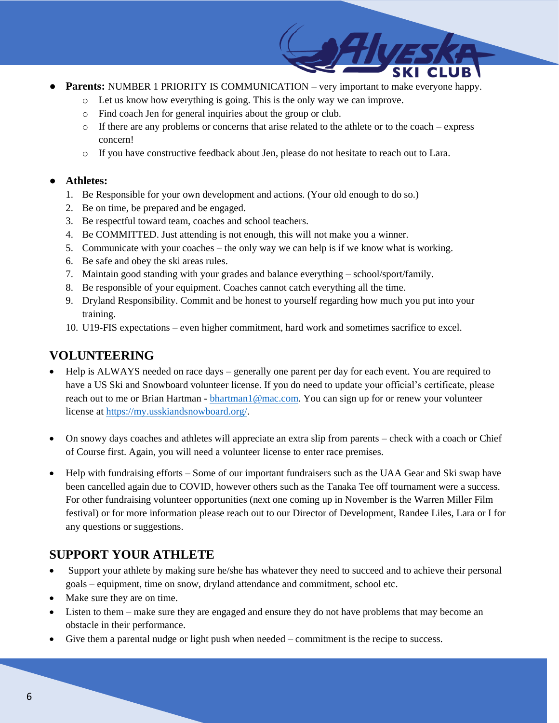- **Parents:** NUMBER 1 PRIORITY IS COMMUNICATION very important to make everyone happy.
	- o Let us know how everything is going. This is the only way we can improve.
	- o Find coach Jen for general inquiries about the group or club.
	- $\circ$  If there are any problems or concerns that arise related to the athlete or to the coach express concern!
	- o If you have constructive feedback about Jen, please do not hesitate to reach out to Lara.

### ● **Athletes:**

- 1. Be Responsible for your own development and actions. (Your old enough to do so.)
- 2. Be on time, be prepared and be engaged.
- 3. Be respectful toward team, coaches and school teachers.
- 4. Be COMMITTED. Just attending is not enough, this will not make you a winner.
- 5. Communicate with your coaches the only way we can help is if we know what is working.
- 6. Be safe and obey the ski areas rules.
- 7. Maintain good standing with your grades and balance everything school/sport/family.
- 8. Be responsible of your equipment. Coaches cannot catch everything all the time.
- 9. Dryland Responsibility. Commit and be honest to yourself regarding how much you put into your training.
- 10. U19-FIS expectations even higher commitment, hard work and sometimes sacrifice to excel.

# **VOLUNTEERING**

- Help is ALWAYS needed on race days generally one parent per day for each event. You are required to have a US Ski and Snowboard volunteer license. If you do need to update your official's certificate, please reach out to me or Brian Hartman - [bhartman1@mac.com.](mailto:bhartman1@mac.com) You can sign up for or renew your volunteer license at [https://my.usskiandsnowboard.org/.](https://my.usskiandsnowboard.org/)
- On snowy days coaches and athletes will appreciate an extra slip from parents check with a coach or Chief of Course first. Again, you will need a volunteer license to enter race premises.
- Help with fundraising efforts Some of our important fundraisers such as the UAA Gear and Ski swap have been cancelled again due to COVID, however others such as the Tanaka Tee off tournament were a success. For other fundraising volunteer opportunities (next one coming up in November is the Warren Miller Film festival) or for more information please reach out to our Director of Development, Randee Liles, Lara or I for any questions or suggestions.

# **SUPPORT YOUR ATHLETE**

- Support your athlete by making sure he/she has whatever they need to succeed and to achieve their personal goals – equipment, time on snow, dryland attendance and commitment, school etc.
- Make sure they are on time.
- Listen to them make sure they are engaged and ensure they do not have problems that may become an obstacle in their performance.
- Give them a parental nudge or light push when needed commitment is the recipe to success.